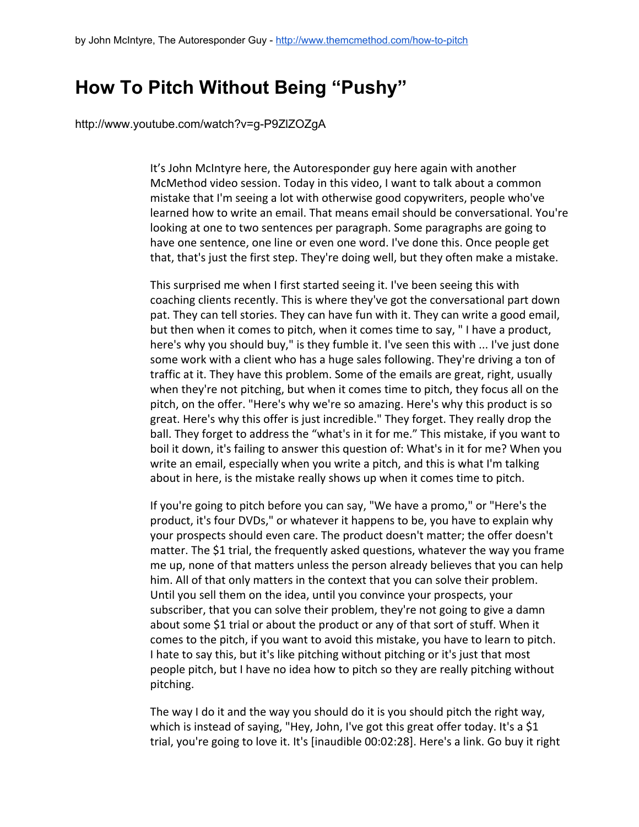## **How To Pitch Without Being "Pushy"**

http://www.youtube.com/watch?v=g-P9ZIZOZgA

It's John McIntyre here, the Autoresponder guy here again with another McMethod video session. Today in this video, I want to talk about a common mistake that I'm seeing a lot with otherwise good copywriters, people who've learned how to write an email. That means email should be conversational. You're looking at one to two sentences per paragraph. Some paragraphs are going to have one sentence, one line or even one word. I've done this. Once people get that, that's just the first step. They're doing well, but they often make a mistake.

This surprised me when I first started seeing it. I've been seeing this with coaching clients recently. This is where they've got the conversational part down pat. They can tell stories. They can have fun with it. They can write a good email, but then when it comes to pitch, when it comes time to say, " I have a product, here's why you should buy," is they fumble it. I've seen this with ... I've just done some work with a client who has a huge sales following. They're driving a ton of traffic at it. They have this problem. Some of the emails are great, right, usually when they're not pitching, but when it comes time to pitch, they focus all on the pitch, on the offer. "Here's why we're so amazing. Here's why this product is so great. Here's why this offer is just incredible." They forget. They really drop the ball. They forget to address the "what's in it for me." This mistake, if you want to boil it down, it's failing to answer this question of: What's in it for me? When you write an email, especially when you write a pitch, and this is what I'm talking about in here, is the mistake really shows up when it comes time to pitch.

If you're going to pitch before you can say, "We have a promo," or "Here's the product, it's four DVDs," or whatever it happens to be, you have to explain why your prospects should even care. The product doesn't matter; the offer doesn't matter. The \$1 trial, the frequently asked questions, whatever the way you frame me up, none of that matters unless the person already believes that you can help him. All of that only matters in the context that you can solve their problem. Until you sell them on the idea, until you convince your prospects, your subscriber, that you can solve their problem, they're not going to give a damn about some \$1 trial or about the product or any of that sort of stuff. When it comes to the pitch, if you want to avoid this mistake, you have to learn to pitch. I hate to say this, but it's like pitching without pitching or it's just that most people pitch, but I have no idea how to pitch so they are really pitching without pitching.

The way I do it and the way you should do it is you should pitch the right way, which is instead of saying, "Hey, John, I've got this great offer today. It's a \$1 trial, you're going to love it. It's [inaudible 00:02:28]. Here's a link. Go buy it right